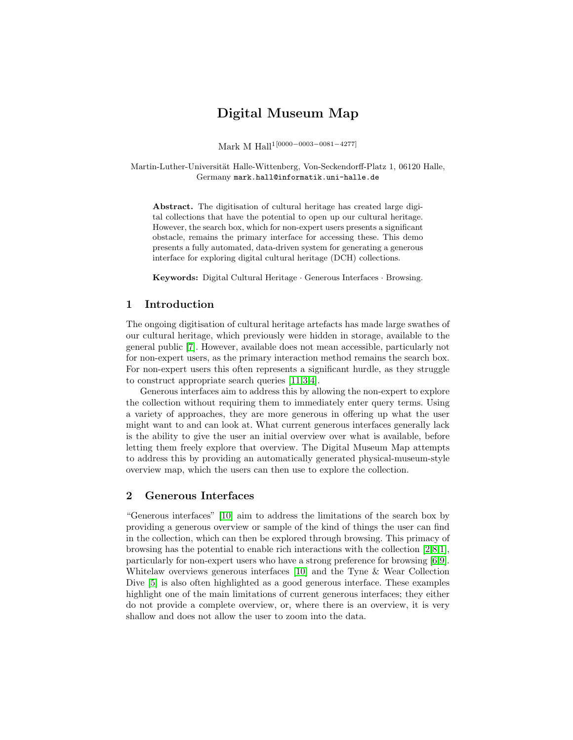# Digital Museum Map

Mark M Hall<sup>1[0000-0003-0081-4277]</sup>

Martin-Luther-Universität Halle-Wittenberg, Von-Seckendorff-Platz 1, 06120 Halle, Germany mark.hall@informatik.uni-halle.de

Abstract. The digitisation of cultural heritage has created large digital collections that have the potential to open up our cultural heritage. However, the search box, which for non-expert users presents a significant obstacle, remains the primary interface for accessing these. This demo presents a fully automated, data-driven system for generating a generous interface for exploring digital cultural heritage (DCH) collections.

Keywords: Digital Cultural Heritage · Generous Interfaces · Browsing.

### 1 Introduction

The ongoing digitisation of cultural heritage artefacts has made large swathes of our cultural heritage, which previously were hidden in storage, available to the general public [\[7\]](#page-3-0). However, available does not mean accessible, particularly not for non-expert users, as the primary interaction method remains the search box. For non-expert users this often represents a significant hurdle, as they struggle to construct appropriate search queries [\[11,](#page-3-1)[3,](#page-3-2)[4\]](#page-3-3).

Generous interfaces aim to address this by allowing the non-expert to explore the collection without requiring them to immediately enter query terms. Using a variety of approaches, they are more generous in offering up what the user might want to and can look at. What current generous interfaces generally lack is the ability to give the user an initial overview over what is available, before letting them freely explore that overview. The Digital Museum Map attempts to address this by providing an automatically generated physical-museum-style overview map, which the users can then use to explore the collection.

### 2 Generous Interfaces

"Generous interfaces" [\[10\]](#page-3-4) aim to address the limitations of the search box by providing a generous overview or sample of the kind of things the user can find in the collection, which can then be explored through browsing. This primacy of browsing has the potential to enable rich interactions with the collection [\[2,](#page-3-5)[8,](#page-3-6)[1\]](#page-3-7), particularly for non-expert users who have a strong preference for browsing [\[6,](#page-3-8)[9\]](#page-3-9). Whitelaw overviews generous interfaces [\[10\]](#page-3-4) and the Tyne & Wear Collection Dive [\[5\]](#page-3-10) is also often highlighted as a good generous interface. These examples highlight one of the main limitations of current generous interfaces; they either do not provide a complete overview, or, where there is an overview, it is very shallow and does not allow the user to zoom into the data.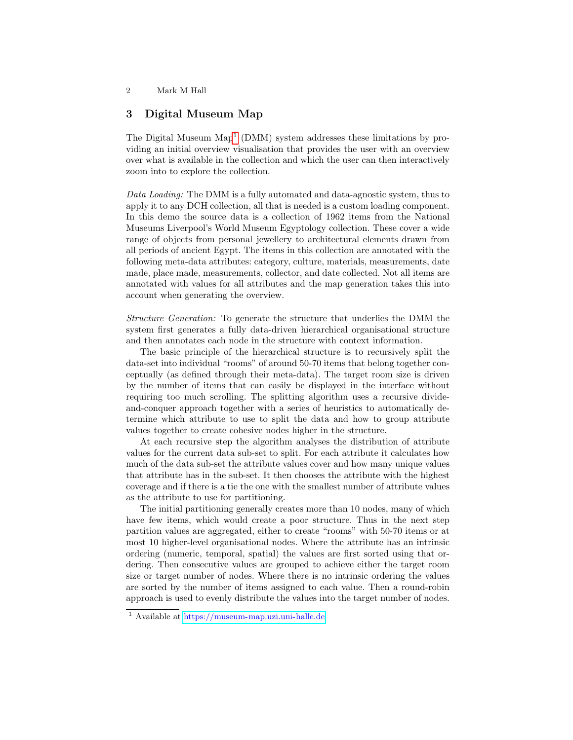## 3 Digital Museum Map

The Digital Museum  $\text{Map}^1$  $\text{Map}^1$  (DMM) system addresses these limitations by providing an initial overview visualisation that provides the user with an overview over what is available in the collection and which the user can then interactively zoom into to explore the collection.

Data Loading: The DMM is a fully automated and data-agnostic system, thus to apply it to any DCH collection, all that is needed is a custom loading component. In this demo the source data is a collection of 1962 items from the National Museums Liverpool's World Museum Egyptology collection. These cover a wide range of objects from personal jewellery to architectural elements drawn from all periods of ancient Egypt. The items in this collection are annotated with the following meta-data attributes: category, culture, materials, measurements, date made, place made, measurements, collector, and date collected. Not all items are annotated with values for all attributes and the map generation takes this into account when generating the overview.

Structure Generation: To generate the structure that underlies the DMM the system first generates a fully data-driven hierarchical organisational structure and then annotates each node in the structure with context information.

The basic principle of the hierarchical structure is to recursively split the data-set into individual "rooms" of around 50-70 items that belong together conceptually (as defined through their meta-data). The target room size is driven by the number of items that can easily be displayed in the interface without requiring too much scrolling. The splitting algorithm uses a recursive divideand-conquer approach together with a series of heuristics to automatically determine which attribute to use to split the data and how to group attribute values together to create cohesive nodes higher in the structure.

At each recursive step the algorithm analyses the distribution of attribute values for the current data sub-set to split. For each attribute it calculates how much of the data sub-set the attribute values cover and how many unique values that attribute has in the sub-set. It then chooses the attribute with the highest coverage and if there is a tie the one with the smallest number of attribute values as the attribute to use for partitioning.

The initial partitioning generally creates more than 10 nodes, many of which have few items, which would create a poor structure. Thus in the next step partition values are aggregated, either to create "rooms" with 50-70 items or at most 10 higher-level organisational nodes. Where the attribute has an intrinsic ordering (numeric, temporal, spatial) the values are first sorted using that ordering. Then consecutive values are grouped to achieve either the target room size or target number of nodes. Where there is no intrinsic ordering the values are sorted by the number of items assigned to each value. Then a round-robin approach is used to evenly distribute the values into the target number of nodes.

<span id="page-1-0"></span><sup>1</sup> Available at <https://museum-map.uzi.uni-halle.de>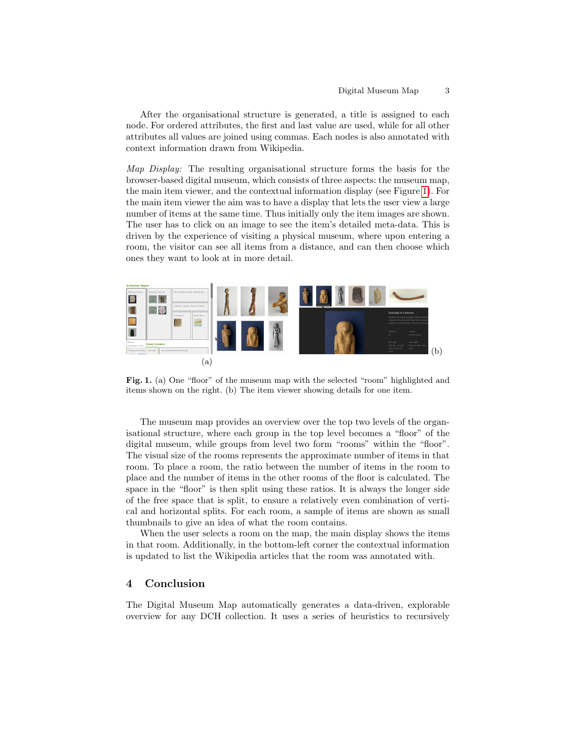After the organisational structure is generated, a title is assigned to each node. For ordered attributes, the first and last value are used, while for all other attributes all values are joined using commas. Each nodes is also annotated with context information drawn from Wikipedia.

Map Display: The resulting organisational structure forms the basis for the browser-based digital museum, which consists of three aspects: the museum map, the main item viewer, and the contextual information display (see Figure [1\)](#page-2-0). For the main item viewer the aim was to have a display that lets the user view a large number of items at the same time. Thus initially only the item images are shown. The user has to click on an image to see the item's detailed meta-data. This is driven by the experience of visiting a physical museum, where upon entering a room, the visitor can see all items from a distance, and can then choose which ones they want to look at in more detail.



<span id="page-2-0"></span>Fig. 1. (a) One "floor" of the museum map with the selected "room" highlighted and items shown on the right. (b) The item viewer showing details for one item.

The museum map provides an overview over the top two levels of the organisational structure, where each group in the top level becomes a "floor" of the digital museum, while groups from level two form "rooms" within the "floor". The visual size of the rooms represents the approximate number of items in that room. To place a room, the ratio between the number of items in the room to place and the number of items in the other rooms of the floor is calculated. The space in the "floor" is then split using these ratios. It is always the longer side of the free space that is split, to ensure a relatively even combination of vertical and horizontal splits. For each room, a sample of items are shown as small thumbnails to give an idea of what the room contains.

When the user selects a room on the map, the main display shows the items in that room. Additionally, in the bottom-left corner the contextual information is updated to list the Wikipedia articles that the room was annotated with.

### 4 Conclusion

The Digital Museum Map automatically generates a data-driven, explorable overview for any DCH collection. It uses a series of heuristics to recursively